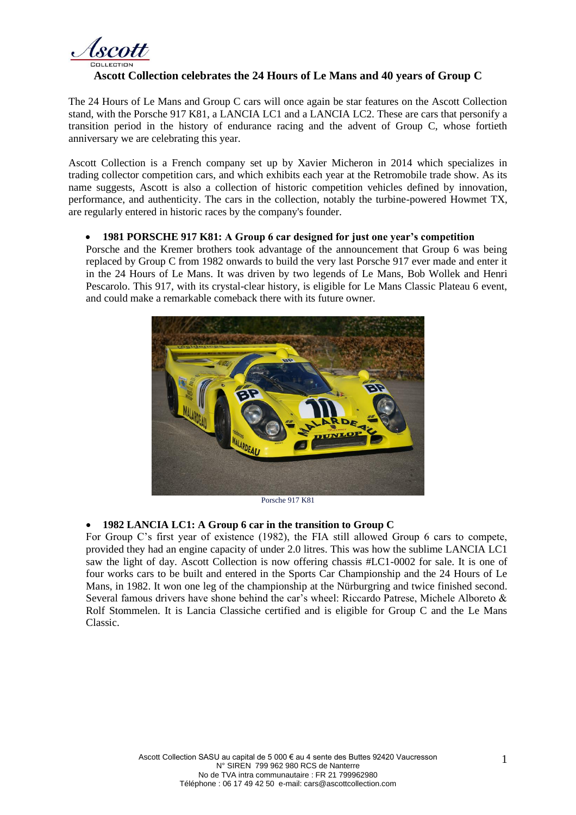

## **Ascott Collection celebrates the 24 Hours of Le Mans and 40 years of Group C**

The 24 Hours of Le Mans and Group C cars will once again be star features on the Ascott Collection stand, with the Porsche 917 K81, a LANCIA LC1 and a LANCIA LC2. These are cars that personify a transition period in the history of endurance racing and the advent of Group C, whose fortieth anniversary we are celebrating this year.

Ascott Collection is a French company set up by Xavier Micheron in 2014 which specializes in trading collector competition cars, and which exhibits each year at the Retromobile trade show. As its name suggests, Ascott is also a collection of historic competition vehicles defined by innovation, performance, and authenticity. The cars in the collection, notably the turbine-powered Howmet TX, are regularly entered in historic races by the company's founder.

## • **1981 PORSCHE 917 K81: A Group 6 car designed for just one year's competition**

Porsche and the Kremer brothers took advantage of the announcement that Group 6 was being replaced by Group C from 1982 onwards to build the very last Porsche 917 ever made and enter it in the 24 Hours of Le Mans. It was driven by two legends of Le Mans, Bob Wollek and Henri Pescarolo. This 917, with its crystal-clear history, is eligible for Le Mans Classic Plateau 6 event, and could make a remarkable comeback there with its future owner.



Porsche 917 K81

## • **1982 LANCIA LC1: A Group 6 car in the transition to Group C**

For Group C's first year of existence (1982), the FIA still allowed Group 6 cars to compete, provided they had an engine capacity of under 2.0 litres. This was how the sublime LANCIA LC1 saw the light of day. Ascott Collection is now offering chassis #LC1-0002 for sale. It is one of four works cars to be built and entered in the Sports Car Championship and the 24 Hours of Le Mans, in 1982. It won one leg of the championship at the Nürburgring and twice finished second. Several famous drivers have shone behind the car's wheel: Riccardo Patrese, Michele Alboreto & Rolf Stommelen. It is Lancia Classiche certified and is eligible for Group C and the Le Mans Classic.